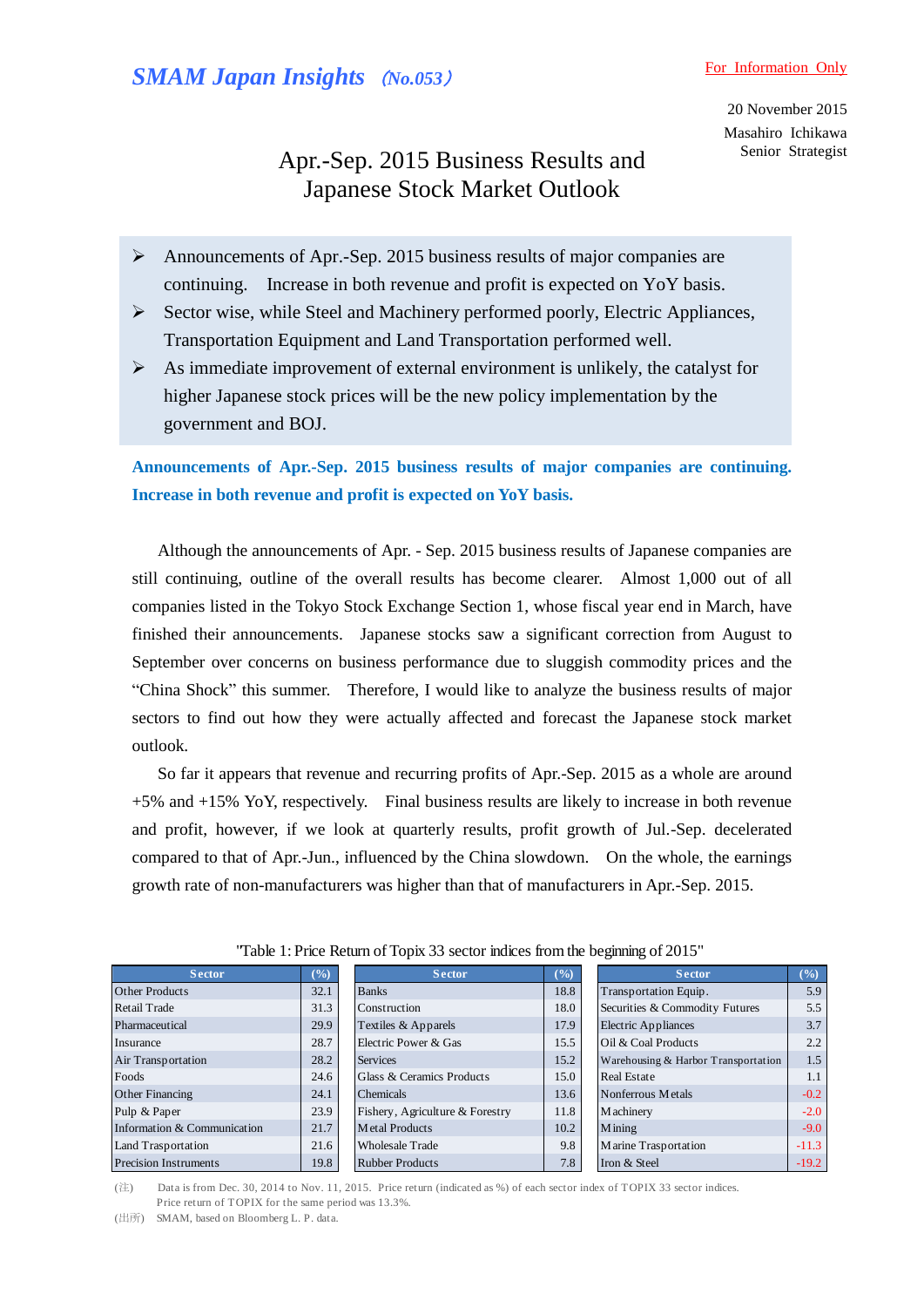20 November 2015 Masahiro Ichikawa Senior Strategist

# Apr.-Sep. 2015 Business Results and Japanese Stock Market Outlook

- Announcements of Apr.-Sep. 2015 business results of major companies are continuing. Increase in both revenue and profit is expected on YoY basis.
- $\triangleright$  Sector wise, while Steel and Machinery performed poorly, Electric Appliances, Transportation Equipment and Land Transportation performed well.
- $\triangleright$  As immediate improvement of external environment is unlikely, the catalyst for higher Japanese stock prices will be the new policy implementation by the government and BOJ.

**Announcements of Apr.-Sep. 2015 business results of major companies are continuing. Increase in both revenue and profit is expected on YoY basis.** 

 Although the announcements of Apr. - Sep. 2015 business results of Japanese companies are still continuing, outline of the overall results has become clearer. Almost 1,000 out of all companies listed in the Tokyo Stock Exchange Section 1, whose fiscal year end in March, have finished their announcements. Japanese stocks saw a significant correction from August to September over concerns on business performance due to sluggish commodity prices and the "China Shock" this summer. Therefore, I would like to analyze the business results of major sectors to find out how they were actually affected and forecast the Japanese stock market outlook.

So far it appears that revenue and recurring profits of Apr.-Sep. 2015 as a whole are around +5% and +15% YoY, respectively. Final business results are likely to increase in both revenue and profit, however, if we look at quarterly results, profit growth of Jul.-Sep. decelerated compared to that of Apr.-Jun., influenced by the China slowdown. On the whole, the earnings growth rate of non-manufacturers was higher than that of manufacturers in Apr.-Sep. 2015.

| <b>Sector</b>                | $(\%)$ | Sector                          | $(\%)$ | <b>Sector</b>                       | $\frac{6}{2}$ |
|------------------------------|--------|---------------------------------|--------|-------------------------------------|---------------|
| <b>Other Products</b>        | 32.1   | <b>Banks</b>                    | 18.8   | Transportation Equip.               | 5.9           |
| Retail Trade                 | 31.3   | Construction                    | 18.0   | Securities & Commodity Futures      | 5.5           |
| Pharmaceutical               | 29.9   | Textiles & Apparels             | 17.9   | <b>Electric Appliances</b>          | 3.7           |
| Insurance                    | 28.7   | Electric Power & Gas            | 15.5   | Oil & Coal Products                 | 2.2           |
| Air Transportation           | 28.2   | <b>Services</b>                 | 15.2   | Warehousing & Harbor Transportation | 1.5           |
| Foods                        | 24.6   | Glass & Ceramics Products       | 15.0   | <b>Real Estate</b>                  | 1.1           |
| Other Financing              | 24.1   | <b>Chemicals</b>                | 13.6   | Nonferrous Metals                   | $-0.2$        |
| Pulp & Paper                 | 23.9   | Fishery, Agriculture & Forestry | 11.8   | M achinery                          | $-2.0$        |
| Information & Communication  | 21.7   | Metal Products                  | 10.2   | <b>M</b> ining                      | $-9.0$        |
| Land Trasportation           | 21.6   | <b>Wholesale Trade</b>          | 9.8    | Marine Trasportation                | $-11.3$       |
| <b>Precision Instruments</b> | 19.8   | <b>Rubber Products</b>          | 7.8    | Iron & Steel                        | $-19.2$       |

"Table 1: Price Return of Topix 33 sector indices from the beginning of 2015"

(注) Data is from Dec. 30, 2014 to Nov. 11, 2015. Price return (indicated as %) of each sector index of TOPIX 33 sector indices. **Land Trasportation Precision Instruments 19.8 Rubber Pro (** $\overleftrightarrow{E}$ ) Data is from Dec. 30, 2014 to Nov. 11, 2015. Price return of TOPIX for the same period was 13.3%. ( $\overleftrightarrow{H}$  $\overrightarrow{F}$ ) SMAM. based on Bloomberg L

(出所) SMAM, based on Bloomberg L. P. data.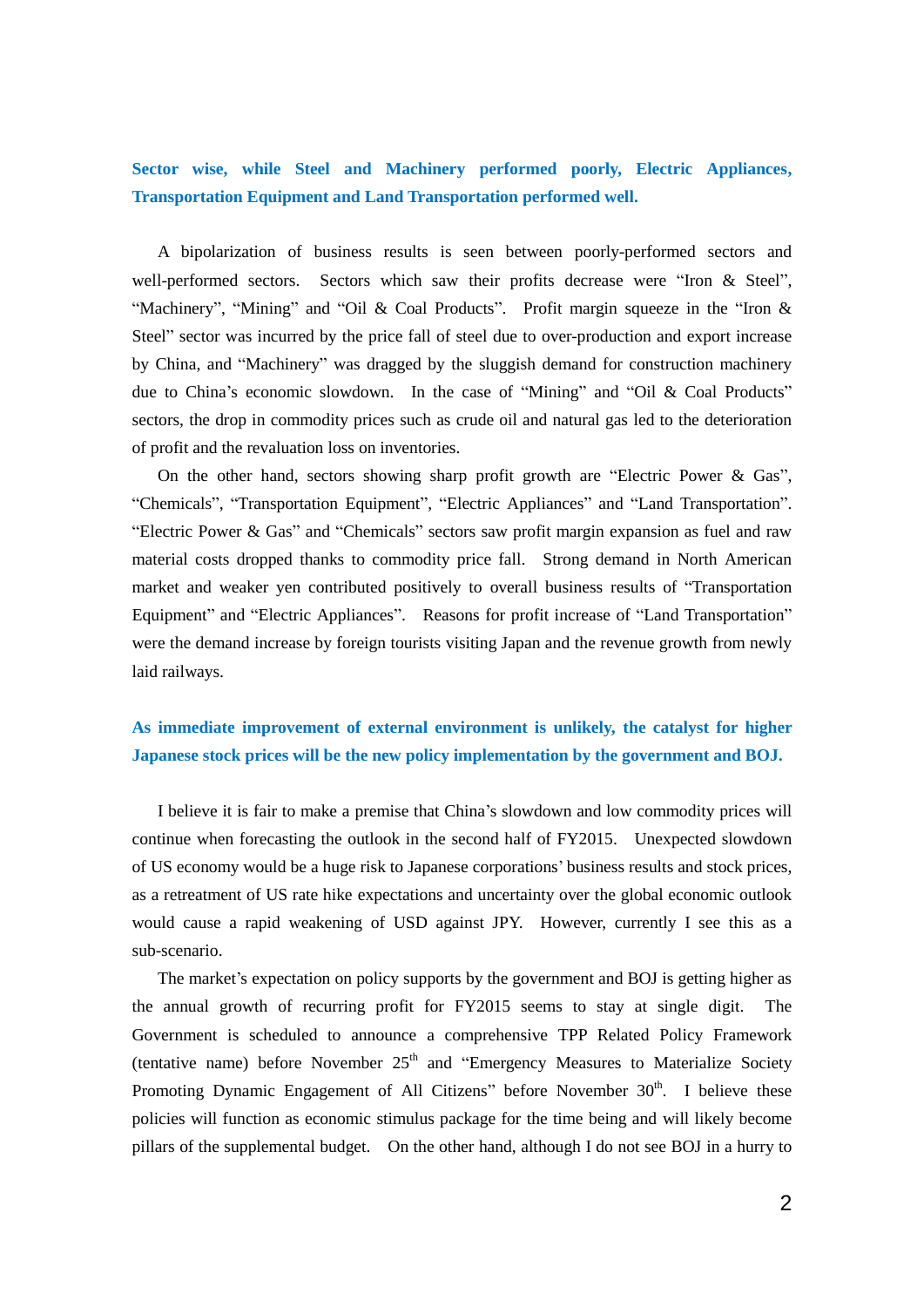## **Sector wise, while Steel and Machinery performed poorly, Electric Appliances, Transportation Equipment and Land Transportation performed well.**

 A bipolarization of business results is seen between poorly-performed sectors and well-performed sectors. Sectors which saw their profits decrease were "Iron & Steel", "Machinery", "Mining" and "Oil & Coal Products". Profit margin squeeze in the "Iron & Steel" sector was incurred by the price fall of steel due to over-production and export increase by China, and "Machinery" was dragged by the sluggish demand for construction machinery due to China's economic slowdown. In the case of "Mining" and "Oil & Coal Products" sectors, the drop in commodity prices such as crude oil and natural gas led to the deterioration of profit and the revaluation loss on inventories.

 On the other hand, sectors showing sharp profit growth are "Electric Power & Gas", "Chemicals", "Transportation Equipment", "Electric Appliances" and "Land Transportation". "Electric Power & Gas" and "Chemicals" sectors saw profit margin expansion as fuel and raw material costs dropped thanks to commodity price fall. Strong demand in North American market and weaker yen contributed positively to overall business results of "Transportation Equipment" and "Electric Appliances". Reasons for profit increase of "Land Transportation" were the demand increase by foreign tourists visiting Japan and the revenue growth from newly laid railways.

### **As immediate improvement of external environment is unlikely, the catalyst for higher Japanese stock prices will be the new policy implementation by the government and BOJ.**

I believe it is fair to make a premise that China's slowdown and low commodity prices will continue when forecasting the outlook in the second half of FY2015. Unexpected slowdown of US economy would be a huge risk to Japanese corporations' business results and stock prices, as a retreatment of US rate hike expectations and uncertainty over the global economic outlook would cause a rapid weakening of USD against JPY. However, currently I see this as a sub-scenario.

 The market's expectation on policy supports by the government and BOJ is getting higher as the annual growth of recurring profit for FY2015 seems to stay at single digit. The Government is scheduled to announce a comprehensive TPP Related Policy Framework (tentative name) before November  $25<sup>th</sup>$  and "Emergency Measures to Materialize Society Promoting Dynamic Engagement of All Citizens" before November  $30<sup>th</sup>$ . I believe these policies will function as economic stimulus package for the time being and will likely become pillars of the supplemental budget. On the other hand, although I do not see BOJ in a hurry to